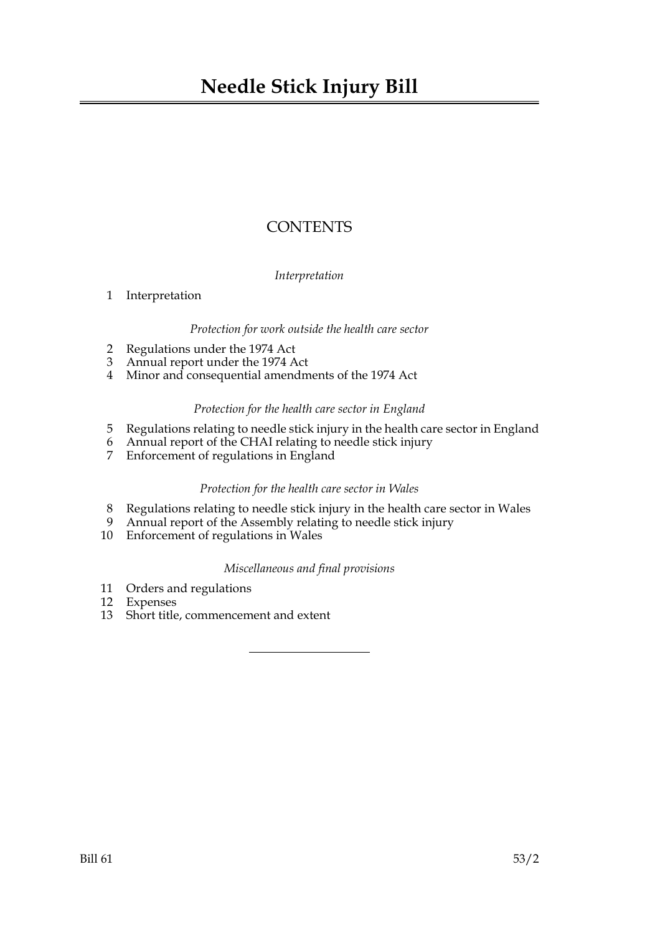# **CONTENTS**

# *Interpretation*

# 1 Interpretation

#### *Protection for work outside the health care sector*

- 2 Regulations under the 1974 Act
- 3 Annual report under the 1974 Act
- 4 Minor and consequential amendments of the 1974 Act

### *Protection for the health care sector in England*

- 5 Regulations relating to needle stick injury in the health care sector in England
- 6 Annual report of the CHAI relating to needle stick injury
- Enforcement of regulations in England

# *Protection for the health care sector in Wales*

- 8 Regulations relating to needle stick injury in the health care sector in Wales
- 9 Annual report of the Assembly relating to needle stick injury
- 10 Enforcement of regulations in Wales

# *Miscellaneous and final provisions*

- 11 Orders and regulations
- 12 Expenses
- 13 Short title, commencement and extent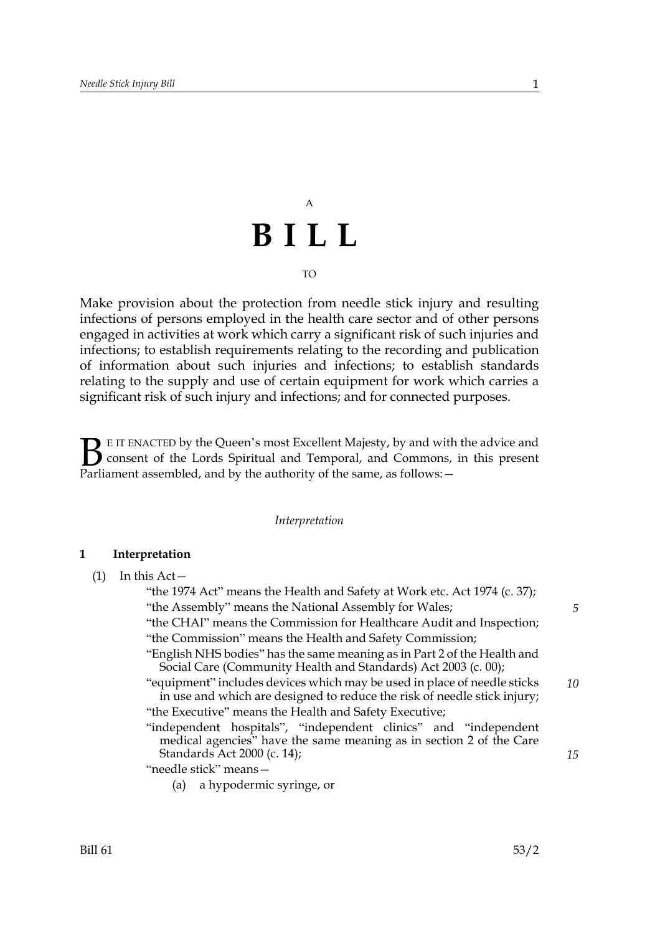# A **BILL**

#### TO

Make provision about the protection from needle stick injury and resulting infections of persons employed in the health care sector and of other persons engaged in activities at work which carry a significant risk of such injuries and infections; to establish requirements relating to the recording and publication of information about such injuries and infections; to establish standards relating to the supply and use of certain equipment for work which carries a significant risk of such injury and infections; and for connected purposes.

E IT ENACTED by the Queen's most Excellent Majesty, by and with the advice and consent of the Lords Spiritual and Temporal, and Commons, in this present **B** E IT ENACTED by the Queen's most Excellent Majesty, by and with consent of the Lords Spiritual and Temporal, and Commons, Parliament assembled, and by the authority of the same, as follows:

#### *Interpretation*

#### **1 Interpretation**

|  | In this Act- |
|--|--------------|
|--|--------------|

"the 1974 Act" means the Health and Safety at Work etc. Act 1974 (c. 37); "the Assembly" means the National Assembly for Wales; "the CHAI" means the Commission for Healthcare Audit and Inspection;

- "the Commission" means the Health and Safety Commission;
- "English NHS bodies" has the same meaning as in Part 2 of the Health and Social Care (Community Health and Standards) Act 2003 (c. 00);
- "equipment" includes devices which may be used in place of needle sticks in use and which are designed to reduce the risk of needle stick injury; "the Executive" means the Health and Safety Executive; *10*
- "independent hospitals", "independent clinics" and "independent medical agencies" have the same meaning as in section 2 of the Care Standards Act 2000 (c. 14);

"needle stick" means—

(a) a hypodermic syringe, or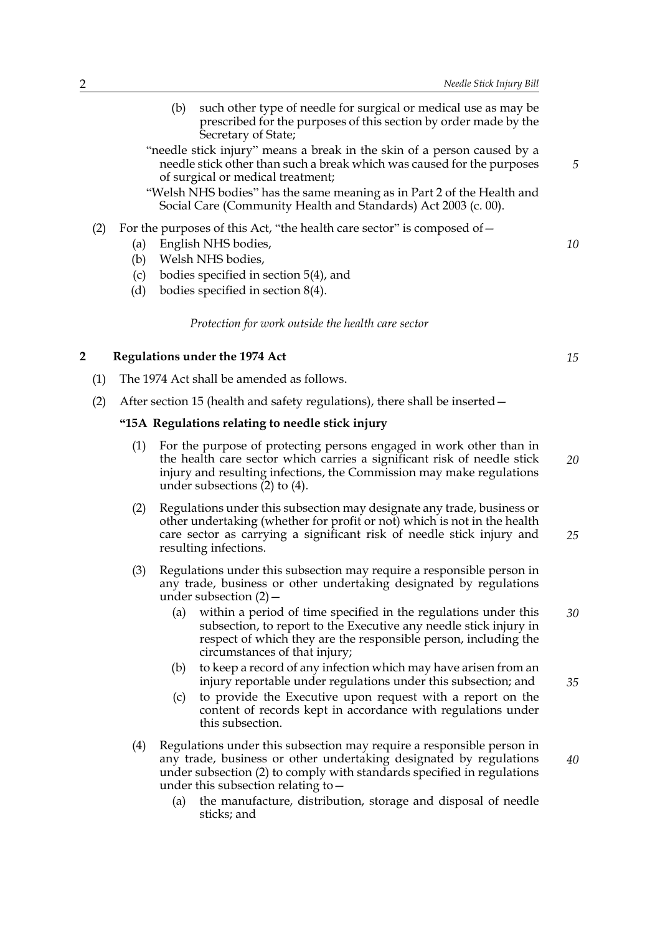- (b) such other type of needle for surgical or medical use as may be prescribed for the purposes of this section by order made by the Secretary of State;
- "needle stick injury" means a break in the skin of a person caused by a needle stick other than such a break which was caused for the purposes of surgical or medical treatment;

"Welsh NHS bodies" has the same meaning as in Part 2 of the Health and Social Care (Community Health and Standards) Act 2003 (c. 00).

- (2) For the purposes of this Act, "the health care sector" is composed of  $-$ 
	- (a) English NHS bodies,
	- (b) Welsh NHS bodies,
	- (c) bodies specified in section 5(4), and
	- (d) bodies specified in section 8(4).

*Protection for work outside the health care sector*

#### **2 Regulations under the 1974 Act**

- (1) The 1974 Act shall be amended as follows.
- (2) After section 15 (health and safety regulations), there shall be inserted—

#### **"15A Regulations relating to needle stick injury**

- (1) For the purpose of protecting persons engaged in work other than in the health care sector which carries a significant risk of needle stick injury and resulting infections, the Commission may make regulations under subsections (2) to (4). *20*
- (2) Regulations under this subsection may designate any trade, business or other undertaking (whether for profit or not) which is not in the health care sector as carrying a significant risk of needle stick injury and resulting infections. *25*
- (3) Regulations under this subsection may require a responsible person in any trade, business or other undertaking designated by regulations under subsection (2)—
	- (a) within a period of time specified in the regulations under this subsection, to report to the Executive any needle stick injury in respect of which they are the responsible person, including the circumstances of that injury; *30*
	- (b) to keep a record of any infection which may have arisen from an injury reportable under regulations under this subsection; and
	- (c) to provide the Executive upon request with a report on the content of records kept in accordance with regulations under this subsection.
- (4) Regulations under this subsection may require a responsible person in any trade, business or other undertaking designated by regulations under subsection (2) to comply with standards specified in regulations under this subsection relating to—
	- (a) the manufacture, distribution, storage and disposal of needle sticks; and

*10*

*5*

*15*

*35*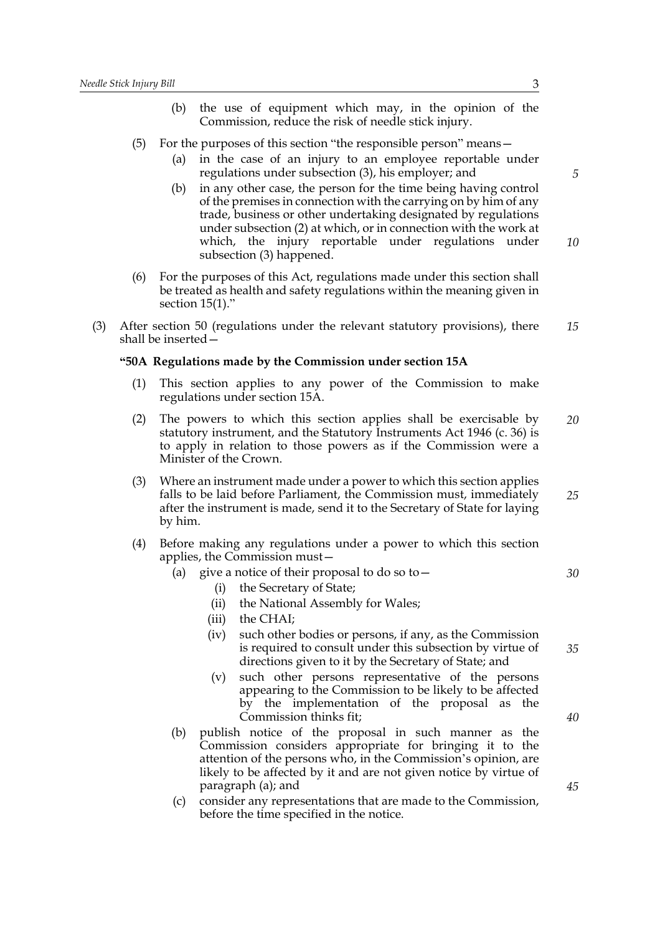- (b) the use of equipment which may, in the opinion of the Commission, reduce the risk of needle stick injury.
- (5) For the purposes of this section "the responsible person" means—
	- (a) in the case of an injury to an employee reportable under regulations under subsection (3), his employer; and
	- (b) in any other case, the person for the time being having control of the premises in connection with the carrying on by him of any trade, business or other undertaking designated by regulations under subsection (2) at which, or in connection with the work at which, the injury reportable under regulations under subsection (3) happened. *10*
- (6) For the purposes of this Act, regulations made under this section shall be treated as health and safety regulations within the meaning given in section 15(1)."
- (3) After section 50 (regulations under the relevant statutory provisions), there shall be inserted— *15*

#### **"50A Regulations made by the Commission under section 15A**

- (1) This section applies to any power of the Commission to make regulations under section 15A.
- (2) The powers to which this section applies shall be exercisable by statutory instrument, and the Statutory Instruments Act 1946 (c. 36) is to apply in relation to those powers as if the Commission were a Minister of the Crown. *20*
- (3) Where an instrument made under a power to which this section applies falls to be laid before Parliament, the Commission must, immediately after the instrument is made, send it to the Secretary of State for laying by him. *25*
- (4) Before making any regulations under a power to which this section applies, the Commission must—
	- (a) give a notice of their proposal to do so to  $-$ 
		- (i) the Secretary of State;
		- (ii) the National Assembly for Wales;
		- (iii) the CHAI;
		- (iv) such other bodies or persons, if any, as the Commission is required to consult under this subsection by virtue of directions given to it by the Secretary of State; and
		- (v) such other persons representative of the persons appearing to the Commission to be likely to be affected by the implementation of the proposal as the Commission thinks fit;
	- (b) publish notice of the proposal in such manner as the Commission considers appropriate for bringing it to the attention of the persons who, in the Commission's opinion, are likely to be affected by it and are not given notice by virtue of paragraph (a); and
	- (c) consider any representations that are made to the Commission, before the time specified in the notice.

*5*

*35*

*30*

*40*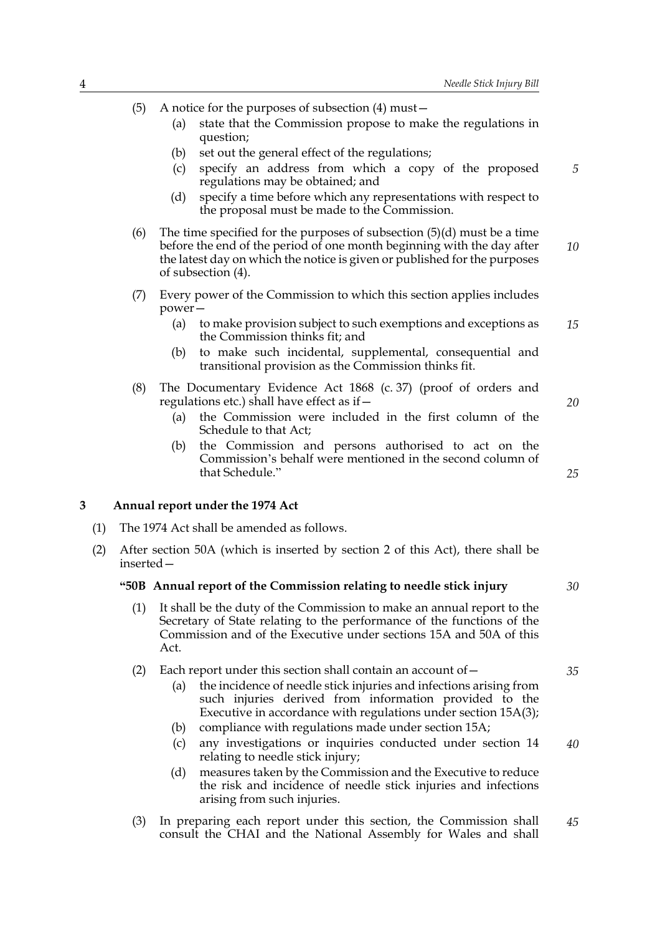(5) A notice for the purposes of subsection (4) must—

- (a) state that the Commission propose to make the regulations in question;
- (b) set out the general effect of the regulations;
- (c) specify an address from which a copy of the proposed regulations may be obtained; and
- (d) specify a time before which any representations with respect to the proposal must be made to the Commission.
- (6) The time specified for the purposes of subsection  $(5)(d)$  must be a time before the end of the period of one month beginning with the day after the latest day on which the notice is given or published for the purposes of subsection (4). *10*
- (7) Every power of the Commission to which this section applies includes power—
	- (a) to make provision subject to such exemptions and exceptions as the Commission thinks fit; and *15*
	- (b) to make such incidental, supplemental, consequential and transitional provision as the Commission thinks fit.
- (8) The Documentary Evidence Act 1868 (c. 37) (proof of orders and regulations etc.) shall have effect as if—
	- (a) the Commission were included in the first column of the Schedule to that Act;
	- (b) the Commission and persons authorised to act on the Commission's behalf were mentioned in the second column of that Schedule."

#### **3 Annual report under the 1974 Act**

- (1) The 1974 Act shall be amended as follows.
- (2) After section 50A (which is inserted by section 2 of this Act), there shall be inserted—

#### **"50B Annual report of the Commission relating to needle stick injury**

- (1) It shall be the duty of the Commission to make an annual report to the Secretary of State relating to the performance of the functions of the Commission and of the Executive under sections 15A and 50A of this Act.
- (2) Each report under this section shall contain an account of  $-$ 
	- (a) the incidence of needle stick injuries and infections arising from such injuries derived from information provided to the Executive in accordance with regulations under section 15A(3);
	- (b) compliance with regulations made under section 15A;
	- (c) any investigations or inquiries conducted under section 14 relating to needle stick injury; *40*
	- (d) measures taken by the Commission and the Executive to reduce the risk and incidence of needle stick injuries and infections arising from such injuries.
- (3) In preparing each report under this section, the Commission shall consult the CHAI and the National Assembly for Wales and shall *45*

*20*

*25*

*5*

*30*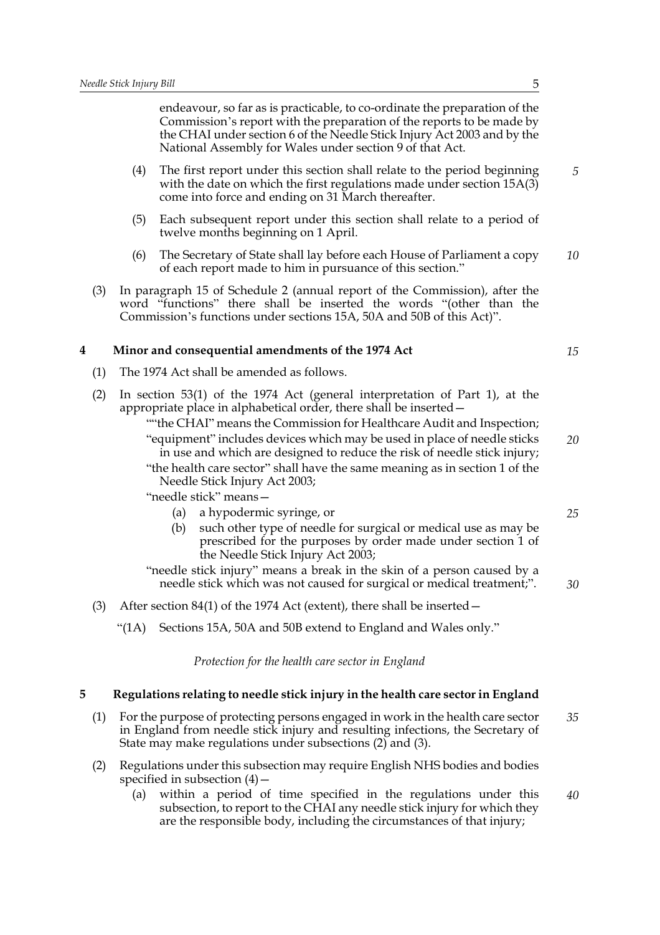endeavour, so far as is practicable, to co-ordinate the preparation of the Commission's report with the preparation of the reports to be made by the CHAI under section 6 of the Needle Stick Injury Act 2003 and by the National Assembly for Wales under section 9 of that Act.

- (4) The first report under this section shall relate to the period beginning with the date on which the first regulations made under section 15A(3) come into force and ending on 31 March thereafter.
- (5) Each subsequent report under this section shall relate to a period of twelve months beginning on 1 April.
- (6) The Secretary of State shall lay before each House of Parliament a copy of each report made to him in pursuance of this section." *10*
- (3) In paragraph 15 of Schedule 2 (annual report of the Commission), after the word "functions" there shall be inserted the words "(other than the Commission's functions under sections 15A, 50A and 50B of this Act)".

#### **4 Minor and consequential amendments of the 1974 Act**

(1) The 1974 Act shall be amended as follows.

| (2) In section 53(1) of the 1974 Act (general interpretation of Part 1), at the |
|---------------------------------------------------------------------------------|
| appropriate place in alphabetical order, there shall be inserted -              |

""the CHAI" means the Commission for Healthcare Audit and Inspection; "equipment" includes devices which may be used in place of needle sticks in use and which are designed to reduce the risk of needle stick injury; "the health care sector" shall have the same meaning as in section 1 of the Needle Stick Injury Act 2003; *20*

"needle stick" means—

- (a) a hypodermic syringe, or
- (b) such other type of needle for surgical or medical use as may be prescribed for the purposes by order made under section 1 of the Needle Stick Injury Act 2003;

"needle stick injury" means a break in the skin of a person caused by a needle stick which was not caused for surgical or medical treatment;".

- (3) After section 84(1) of the 1974 Act (extent), there shall be inserted—
	- "(1A) Sections 15A, 50A and 50B extend to England and Wales only."

*Protection for the health care sector in England*

#### **5 Regulations relating to needle stick injury in the health care sector in England**

- (1) For the purpose of protecting persons engaged in work in the health care sector in England from needle stick injury and resulting infections, the Secretary of State may make regulations under subsections (2) and (3). *35*
- (2) Regulations under this subsection may require English NHS bodies and bodies specified in subsection  $(4)$  –
	- (a) within a period of time specified in the regulations under this subsection, to report to the CHAI any needle stick injury for which they are the responsible body, including the circumstances of that injury; *40*

*5*

*15*

*25*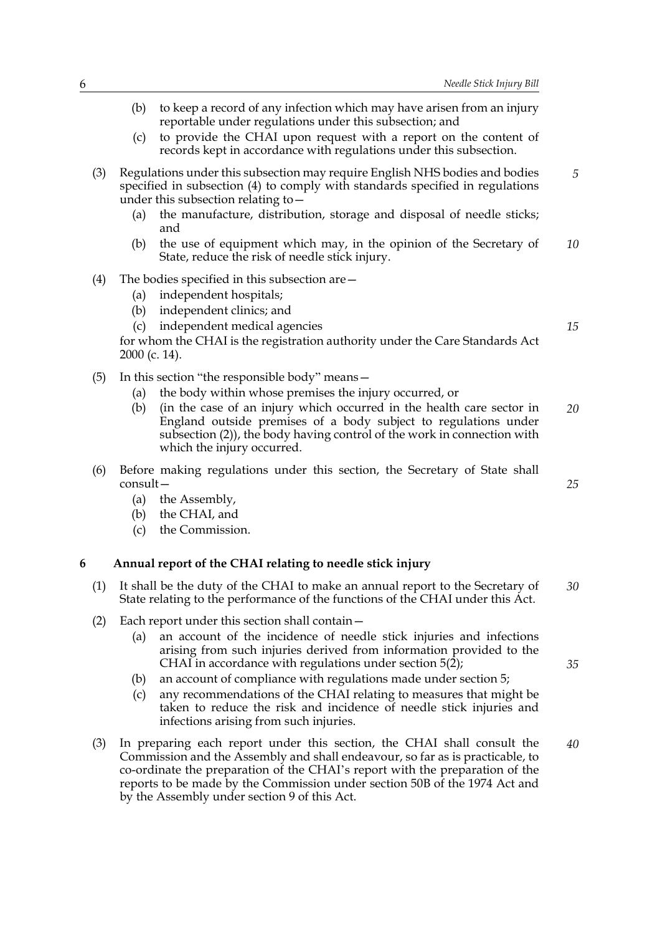- (b) to keep a record of any infection which may have arisen from an injury reportable under regulations under this subsection; and
- (c) to provide the CHAI upon request with a report on the content of records kept in accordance with regulations under this subsection.
- (3) Regulations under this subsection may require English NHS bodies and bodies specified in subsection (4) to comply with standards specified in regulations under this subsection relating to—
	- (a) the manufacture, distribution, storage and disposal of needle sticks; and
	- (b) the use of equipment which may, in the opinion of the Secretary of State, reduce the risk of needle stick injury. *10*
- (4) The bodies specified in this subsection are—
	- (a) independent hospitals;
	- (b) independent clinics; and
	- (c) independent medical agencies

for whom the CHAI is the registration authority under the Care Standards Act 2000 (c. 14).

- (5) In this section "the responsible body" means—
	- (a) the body within whose premises the injury occurred, or
	- (b) (in the case of an injury which occurred in the health care sector in England outside premises of a body subject to regulations under subsection (2)), the body having control of the work in connection with which the injury occurred. *20*
- (6) Before making regulations under this section, the Secretary of State shall consult—
	- (a) the Assembly,
	- (b) the CHAI, and
	- (c) the Commission.

#### **6 Annual report of the CHAI relating to needle stick injury**

- (1) It shall be the duty of the CHAI to make an annual report to the Secretary of State relating to the performance of the functions of the CHAI under this Act. *30*
- (2) Each report under this section shall contain—
	- (a) an account of the incidence of needle stick injuries and infections arising from such injuries derived from information provided to the CHAI in accordance with regulations under section 5(2);
	- (b) an account of compliance with regulations made under section 5;
	- (c) any recommendations of the CHAI relating to measures that might be taken to reduce the risk and incidence of needle stick injuries and infections arising from such injuries.
- (3) In preparing each report under this section, the CHAI shall consult the Commission and the Assembly and shall endeavour, so far as is practicable, to co-ordinate the preparation of the CHAI's report with the preparation of the reports to be made by the Commission under section 50B of the 1974 Act and by the Assembly under section 9 of this Act. *40*

*15*

*5*

*25*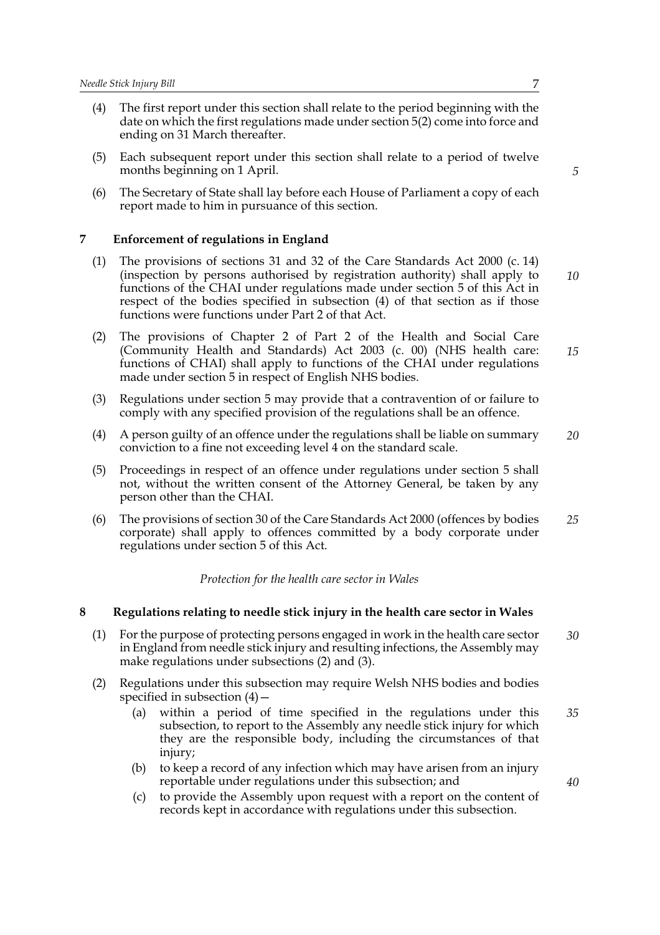- (4) The first report under this section shall relate to the period beginning with the date on which the first regulations made under section 5(2) come into force and ending on 31 March thereafter.
- (5) Each subsequent report under this section shall relate to a period of twelve months beginning on 1 April.
- (6) The Secretary of State shall lay before each House of Parliament a copy of each report made to him in pursuance of this section.

#### **7 Enforcement of regulations in England**

- (1) The provisions of sections 31 and 32 of the Care Standards Act 2000 (c. 14) (inspection by persons authorised by registration authority) shall apply to functions of the CHAI under regulations made under section 5 of this Act in respect of the bodies specified in subsection (4) of that section as if those functions were functions under Part 2 of that Act.
- (2) The provisions of Chapter 2 of Part 2 of the Health and Social Care (Community Health and Standards) Act 2003 (c. 00) (NHS health care: functions of CHAI) shall apply to functions of the CHAI under regulations made under section 5 in respect of English NHS bodies.
- (3) Regulations under section 5 may provide that a contravention of or failure to comply with any specified provision of the regulations shall be an offence.
- (4) A person guilty of an offence under the regulations shall be liable on summary conviction to a fine not exceeding level 4 on the standard scale.
- (5) Proceedings in respect of an offence under regulations under section 5 shall not, without the written consent of the Attorney General, be taken by any person other than the CHAI.
- (6) The provisions of section 30 of the Care Standards Act 2000 (offences by bodies corporate) shall apply to offences committed by a body corporate under regulations under section 5 of this Act. *25*

#### *Protection for the health care sector in Wales*

#### **8 Regulations relating to needle stick injury in the health care sector in Wales**

- (1) For the purpose of protecting persons engaged in work in the health care sector in England from needle stick injury and resulting infections, the Assembly may make regulations under subsections (2) and (3). *30*
- (2) Regulations under this subsection may require Welsh NHS bodies and bodies specified in subsection  $(4)$  –
	- (a) within a period of time specified in the regulations under this subsection, to report to the Assembly any needle stick injury for which they are the responsible body, including the circumstances of that injury; *35*
	- (b) to keep a record of any infection which may have arisen from an injury reportable under regulations under this subsection; and
	- (c) to provide the Assembly upon request with a report on the content of records kept in accordance with regulations under this subsection.

*5*

*15*

*10*

*20*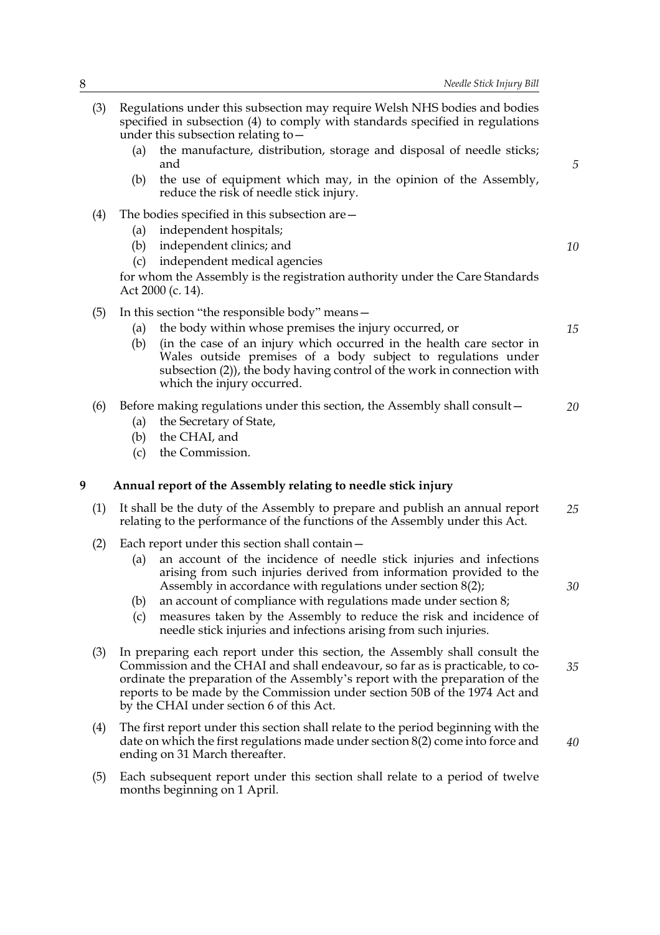|   | Regulations under this subsection may require Welsh NHS bodies and bodies<br>(3)<br>specified in subsection (4) to comply with standards specified in regulations<br>under this subsection relating to $-$ |                   |                                                                                                                                                                                                                                                                                                                                                                                                                                                                             |    |
|---|------------------------------------------------------------------------------------------------------------------------------------------------------------------------------------------------------------|-------------------|-----------------------------------------------------------------------------------------------------------------------------------------------------------------------------------------------------------------------------------------------------------------------------------------------------------------------------------------------------------------------------------------------------------------------------------------------------------------------------|----|
|   |                                                                                                                                                                                                            | (a)               | the manufacture, distribution, storage and disposal of needle sticks;<br>and                                                                                                                                                                                                                                                                                                                                                                                                | 5  |
|   |                                                                                                                                                                                                            | (b)               | the use of equipment which may, in the opinion of the Assembly,<br>reduce the risk of needle stick injury.                                                                                                                                                                                                                                                                                                                                                                  |    |
|   | (4)                                                                                                                                                                                                        | (a)<br>(b)<br>(c) | The bodies specified in this subsection are-<br>independent hospitals;<br>independent clinics; and<br>independent medical agencies<br>for whom the Assembly is the registration authority under the Care Standards<br>Act 2000 (c. 14).                                                                                                                                                                                                                                     | 10 |
|   | (5)                                                                                                                                                                                                        | (a)<br>(b)        | In this section "the responsible body" means -<br>the body within whose premises the injury occurred, or<br>(in the case of an injury which occurred in the health care sector in<br>Wales outside premises of a body subject to regulations under<br>subsection (2)), the body having control of the work in connection with<br>which the injury occurred.                                                                                                                 | 15 |
|   | (6)                                                                                                                                                                                                        | (a)<br>(b)<br>(c) | Before making regulations under this section, the Assembly shall consult -<br>the Secretary of State,<br>the CHAI, and<br>the Commission.                                                                                                                                                                                                                                                                                                                                   | 20 |
|   |                                                                                                                                                                                                            |                   |                                                                                                                                                                                                                                                                                                                                                                                                                                                                             |    |
| 9 |                                                                                                                                                                                                            |                   | Annual report of the Assembly relating to needle stick injury                                                                                                                                                                                                                                                                                                                                                                                                               |    |
|   | (1)                                                                                                                                                                                                        |                   | It shall be the duty of the Assembly to prepare and publish an annual report<br>relating to the performance of the functions of the Assembly under this Act.                                                                                                                                                                                                                                                                                                                | 25 |
|   | (2)                                                                                                                                                                                                        | (a)<br>(b)<br>(c) | Each report under this section shall contain -<br>an account of the incidence of needle stick injuries and infections<br>arising from such injuries derived from information provided to the<br>Assembly in accordance with regulations under section $8(2)$ ;<br>an account of compliance with regulations made under section 8;<br>measures taken by the Assembly to reduce the risk and incidence of<br>needle stick injuries and infections arising from such injuries. | 30 |
|   | (3)                                                                                                                                                                                                        |                   | In preparing each report under this section, the Assembly shall consult the<br>Commission and the CHAI and shall endeavour, so far as is practicable, to co-<br>ordinate the preparation of the Assembly's report with the preparation of the<br>reports to be made by the Commission under section 50B of the 1974 Act and<br>by the CHAI under section 6 of this Act.                                                                                                     | 35 |
|   | (4)                                                                                                                                                                                                        |                   | The first report under this section shall relate to the period beginning with the<br>date on which the first regulations made under section $8(2)$ come into force and<br>ending on 31 March thereafter.                                                                                                                                                                                                                                                                    | 40 |
|   | (5)                                                                                                                                                                                                        |                   | Each subsequent report under this section shall relate to a period of twelve<br>months beginning on 1 April.                                                                                                                                                                                                                                                                                                                                                                |    |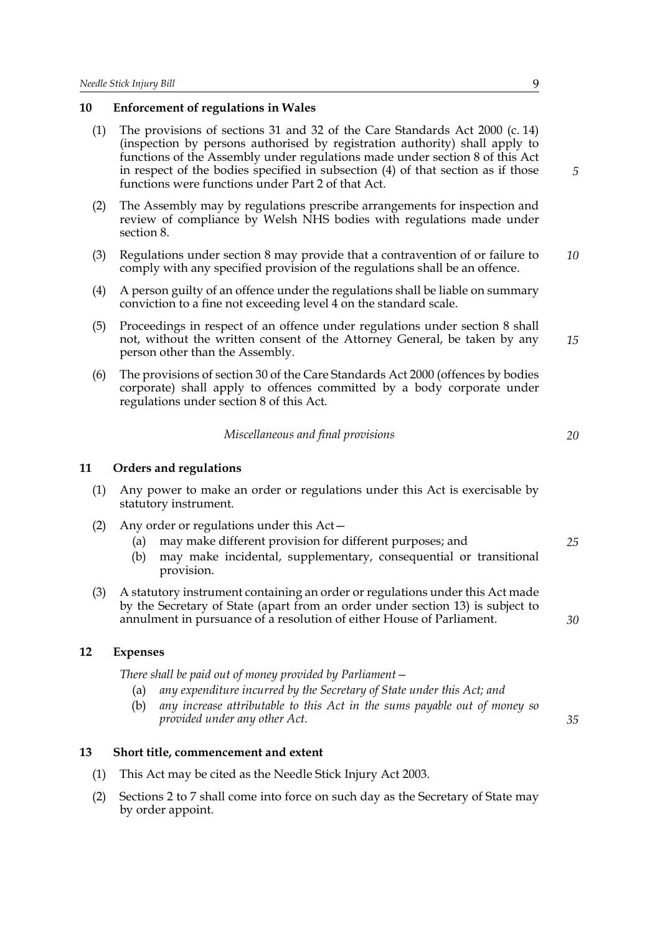#### **10 Enforcement of regulations in Wales**

- (1) The provisions of sections 31 and 32 of the Care Standards Act 2000 (c. 14) (inspection by persons authorised by registration authority) shall apply to functions of the Assembly under regulations made under section 8 of this Act in respect of the bodies specified in subsection (4) of that section as if those functions were functions under Part 2 of that Act.
- (2) The Assembly may by regulations prescribe arrangements for inspection and review of compliance by Welsh NHS bodies with regulations made under section 8.
- (3) Regulations under section 8 may provide that a contravention of or failure to comply with any specified provision of the regulations shall be an offence. *10*
- (4) A person guilty of an offence under the regulations shall be liable on summary conviction to a fine not exceeding level 4 on the standard scale.
- (5) Proceedings in respect of an offence under regulations under section 8 shall not, without the written consent of the Attorney General, be taken by any person other than the Assembly. *15*
- (6) The provisions of section 30 of the Care Standards Act 2000 (offences by bodies corporate) shall apply to offences committed by a body corporate under regulations under section 8 of this Act.

| Miscellaneous and final provisions |  |
|------------------------------------|--|
|------------------------------------|--|

#### **11 Orders and regulations**

- (1) Any power to make an order or regulations under this Act is exercisable by statutory instrument.
- (2) Any order or regulations under this Act—
	- (a) may make different provision for different purposes; and
	- (b) may make incidental, supplementary, consequential or transitional provision.
- (3) A statutory instrument containing an order or regulations under this Act made by the Secretary of State (apart from an order under section 13) is subject to annulment in pursuance of a resolution of either House of Parliament.

#### **12 Expenses**

*There shall be paid out of money provided by Parliament—*

- (a) *any expenditure incurred by the Secretary of State under this Act; and*
- (b) *any increase attributable to this Act in the sums payable out of money so provided under any other Act.*

#### **13 Short title, commencement and extent**

- (1) This Act may be cited as the Needle Stick Injury Act 2003.
- (2) Sections 2 to 7 shall come into force on such day as the Secretary of State may by order appoint.

*5*

*20*

*25*

*30*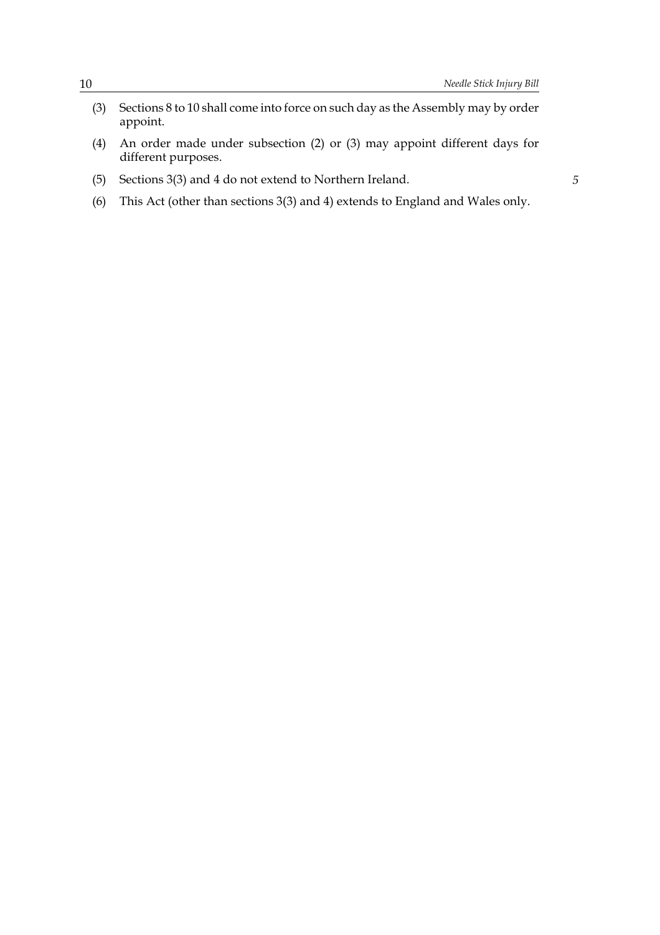- (3) Sections 8 to 10 shall come into force on such day as the Assembly may by order appoint.
- (4) An order made under subsection (2) or (3) may appoint different days for different purposes.
- (5) Sections 3(3) and 4 do not extend to Northern Ireland.
- (6) This Act (other than sections 3(3) and 4) extends to England and Wales only.